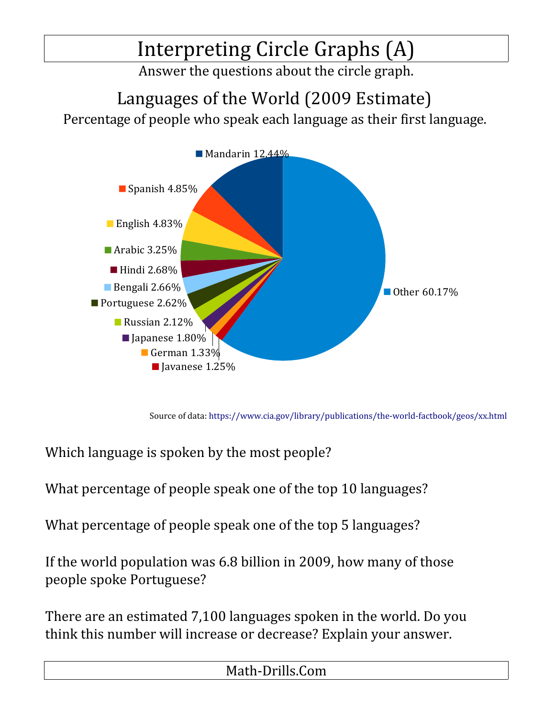## Interpreting Circle Graphs (A)

Answer the questions about the circle graph.

Languages of the World (2009 Estimate)

Percentage of people who speak each language as their first language.



Source of data:<https://www.cia.gov/library/publications/the-world-factbook/geos/xx.html>

Which language is spoken by the most people?

What percentage of people speak one of the top 10 languages?

What percentage of people speak one of the top 5 languages?

If the world population was 6.8 billion in 2009, how many of those people spoke Portuguese?

There are an estimated 7,100 languages spoken in the world. Do you think this number will increase or decrease? Explain your answer.

Math-Drills.Com